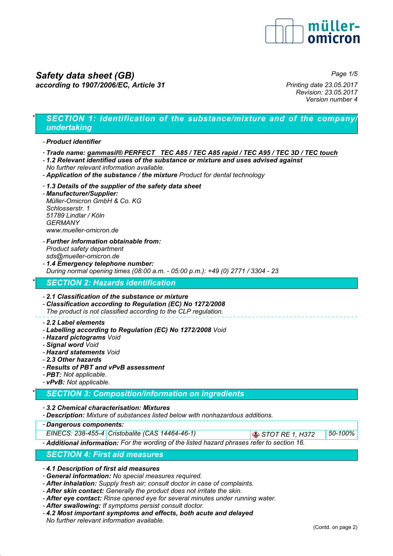

# *Safety data sheet (GB) according to 1907/2006/EC, Article 31*

*Page 1/5*

*Printing date 23.05.2017 Revision: 23.05.2017 Version number 4*

# *\* SECTION 1: Identification of the substance/mixture and of the company/ undertaking*

### *- Product identifier*

- *Trade name: gammasil® PERFECT TEC A85 / TEC A85 rapid / TEC A95 / TEC 3D / TEC touch*
- *1.2 Relevant identified uses of the substance or mixture and uses advised against No further relevant information available.*
- *Application of the substance / the mixture Product for dental technology*
- *1.3 Details of the supplier of the safety data sheet*
- *Manufacturer/Supplier: Müller-Omicron GmbH & Co. KG Schlosserstr. 1 51789 Lindlar / Köln GERMANY www.mueller-omicron.de*
- *Further information obtainable from: Product safety department sds@mueller-omicron.de*
- *1.4 Emergency telephone number: During normal opening times (08:00 a.m. - 05:00 p.m.): +49 (0) 2771 / 3304 - 23*

### *\* SECTION 2: Hazards identification*

#### *- 2.1 Classification of the substance or mixture*

- *Classification according to Regulation (EC) No 1272/2008 The product is not classified according to the CLP regulation.*
- *2.2 Label elements*
- *Labelling according to Regulation (EC) No 1272/2008 Void*
- *Hazard pictograms Void*
- *Signal word Void*
- *Hazard statements Void*
- *2.3 Other hazards*
- *Results of PBT and vPvB assessment*
- *PBT: Not applicable.*
- *vPvB: Not applicable.*

## *\* SECTION 3: Composition/information on ingredients*

- *3.2 Chemical characterisation: Mixtures*
- *Description: Mixture of substances listed below with nonhazardous additions.*
- *Dangerous components:*

*EINECS: 238-455-4 Cristobalite (CAS 14464-46-1) STOT RE 1, H372 50-100%*

*- Additional information: For the wording of the listed hazard phrases refer to section 16.*

### *SECTION 4: First aid measures*

*- 4.1 Description of first aid measures*

- *General information: No special measures required.*
- *After inhalation: Supply fresh air; consult doctor in case of complaints.*
- *After skin contact: Generally the product does not irritate the skin.*
- *After eye contact: Rinse opened eye for several minutes under running water.*
- *After swallowing: If symptoms persist consult doctor.*
- *4.2 Most important symptoms and effects, both acute and delayed No further relevant information available.*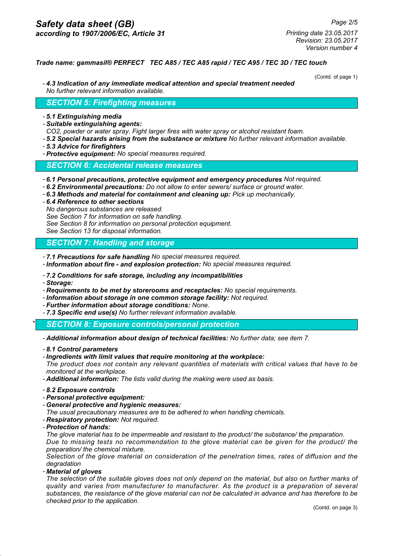*Revision: 23.05.2017 Version number 4*

### *Trade name: gammasil® PERFECT TEC A85 / TEC A85 rapid / TEC A95 / TEC 3D / TEC touch*

(Contd. of page 1)

*- 4.3 Indication of any immediate medical attention and special treatment needed No further relevant information available.*

### *SECTION 5: Firefighting measures*

- *5.1 Extinguishing media*
- *Suitable extinguishing agents:*
- *CO2, powder or water spray. Fight larger fires with water spray or alcohol resistant foam.*
- *5.2 Special hazards arising from the substance or mixture No further relevant information available.*
- *5.3 Advice for firefighters*
- *Protective equipment: No special measures required.*

### *SECTION 6: Accidental release measures*

- *6.1 Personal precautions, protective equipment and emergency procedures Not required.*
- *6.2 Environmental precautions: Do not allow to enter sewers/ surface or ground water.*
- *6.3 Methods and material for containment and cleaning up: Pick up mechanically.*
- *6.4 Reference to other sections No dangerous substances are released. See Section 7 for information on safe handling. See Section 8 for information on personal protection equipment. See Section 13 for disposal information.*

## *SECTION 7: Handling and storage*

- *7.1 Precautions for safe handling No special measures required.*
- *Information about fire and explosion protection: No special measures required.*
- *7.2 Conditions for safe storage, including any incompatibilities*
- *Storage:*
- *Requirements to be met by storerooms and receptacles: No special requirements.*
- *Information about storage in one common storage facility: Not required.*
- *Further information about storage conditions: None.*
- *7.3 Specific end use(s) No further relevant information available.*

*\* SECTION 8: Exposure controls/personal protection*

- *Additional information about design of technical facilities: No further data; see item 7.*
- *8.1 Control parameters*
- *Ingredients with limit values that require monitoring at the workplace: The product does not contain any relevant quantities of materials with critical values that have to be monitored at the workplace.*
- *Additional information: The lists valid during the making were used as basis.*
- *8.2 Exposure controls*
- *Personal protective equipment:*
- *General protective and hygienic measures:*
- *The usual precautionary measures are to be adhered to when handling chemicals.*
- *Respiratory protection: Not required.*
- *Protection of hands:*

*The glove material has to be impermeable and resistant to the product/ the substance/ the preparation.*

*Due to missing tests no recommendation to the glove material can be given for the product/ the preparation/ the chemical mixture.*

*Selection of the glove material on consideration of the penetration times, rates of diffusion and the degradation*

*- Material of gloves*

*The selection of the suitable gloves does not only depend on the material, but also on further marks of quality and varies from manufacturer to manufacturer. As the product is a preparation of several substances, the resistance of the glove material can not be calculated in advance and has therefore to be checked prior to the application.*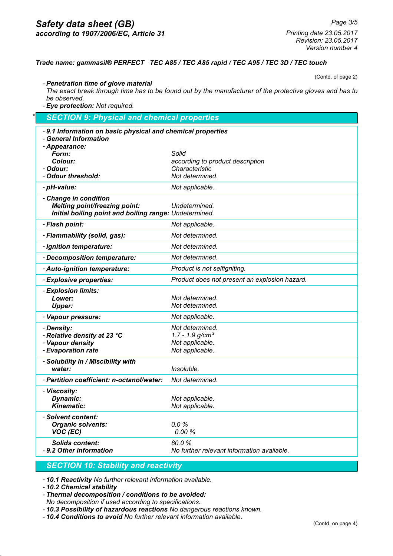## *Safety data sheet (GB) according to 1907/2006/EC, Article 31*

*Printing date 23.05.2017 Revision: 23.05.2017 Version number 4*

### *Trade name: gammasil® PERFECT TEC A85 / TEC A85 rapid / TEC A95 / TEC 3D / TEC touch*

(Contd. of page 2)

*- Penetration time of glove material The exact break through time has to be found out by the manufacturer of the protective gloves and has to be observed.*

*- Eye protection: Not required.*

# *\* SECTION 9: Physical and chemical properties - 9.1 Information on basic physical and chemical properties - General Information - Appearance: Form: Solid Colour: according to product description - Odour: Characteristic - Odour threshold: Not determined. - pH-value: Not applicable. - Change in condition Melting point/freezing point: Undetermined. Initial boiling point and boiling range: Undetermined. - Flash point: Not applicable. - Flammability (solid, gas): Not determined. - Ignition temperature: Not determined. - Decomposition temperature: Not determined. - Auto-ignition temperature: Product is not selfigniting. - Explosive properties: Product does not present an explosion hazard. - Explosion limits: Lower: Not determined. Upper: Not determined. - Vapour pressure: Not applicable. - Density: Not determined. - Relative density at 23 °C 1.7 - 1.9 g/cm³ - Vapour density Not applicable.*<br> *Permit and the Conduction rate in the Mot applicable. - Evaporation rate Not applicable. - Solubility in / Miscibility with water: Insoluble. - Partition coefficient: n-octanol/water: Not determined. - Viscosity:* **Dynamic:** Not applicable. *Kinematic:* Not applicable. *- Solvent content: Organic solvents: 0.0 % VOC (EC) 0.00 % Solids content: 80.0 % - 9.2 Other information No further relevant information available.*

## *SECTION 10: Stability and reactivity*

*- 10.1 Reactivity No further relevant information available.*

*- 10.2 Chemical stability*

*- Thermal decomposition / conditions to be avoided: No decomposition if used according to specifications.*

*- 10.3 Possibility of hazardous reactions No dangerous reactions known.*

*- 10.4 Conditions to avoid No further relevant information available.*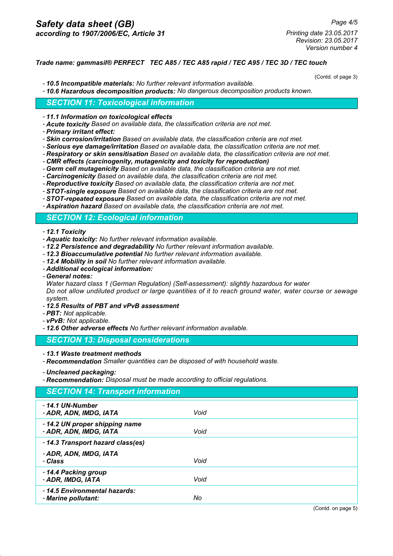*Printing date 23.05.2017 Revision: 23.05.2017 Version number 4*

### *Trade name: gammasil® PERFECT TEC A85 / TEC A85 rapid / TEC A95 / TEC 3D / TEC touch*

(Contd. of page 3)

- *10.5 Incompatible materials: No further relevant information available.*
- *10.6 Hazardous decomposition products: No dangerous decomposition products known.*

### *SECTION 11: Toxicological information*

- *11.1 Information on toxicological effects*
- *Acute toxicity Based on available data, the classification criteria are not met.*
- *Primary irritant effect:*
- *Skin corrosion/irritation Based on available data, the classification criteria are not met.*
- *Serious eye damage/irritation Based on available data, the classification criteria are not met.*
- *Respiratory or skin sensitisation Based on available data, the classification criteria are not met.*
- *CMR effects (carcinogenity, mutagenicity and toxicity for reproduction)*
- *Germ cell mutagenicity Based on available data, the classification criteria are not met.*
- *Carcinogenicity Based on available data, the classification criteria are not met.*
- *Reproductive toxicity Based on available data, the classification criteria are not met.*
- *STOT-single exposure Based on available data, the classification criteria are not met.*
- *STOT-repeated exposure Based on available data, the classification criteria are not met.*
- *Aspiration hazard Based on available data, the classification criteria are not met.*

### *SECTION 12: Ecological information*

- *12.1 Toxicity*
- *Aquatic toxicity: No further relevant information available.*
- *12.2 Persistence and degradability No further relevant information available.*
- *12.3 Bioaccumulative potential No further relevant information available.*
- *12.4 Mobility in soil No further relevant information available.*
- *Additional ecological information:*
- *General notes:*

*Water hazard class 1 (German Regulation) (Self-assessment): slightly hazardous for water Do not allow undiluted product or large quantities of it to reach ground water, water course or sewage system.*

- *12.5 Results of PBT and vPvB assessment*
- *PBT: Not applicable.*
- *vPvB: Not applicable.*
- *12.6 Other adverse effects No further relevant information available.*

*SECTION 13: Disposal considerations*

- *13.1 Waste treatment methods*
- *Recommendation Smaller quantities can be disposed of with household waste.*
- *Uncleaned packaging:*

*- Recommendation: Disposal must be made according to official regulations.*

| <b>SECTION 14: Transport information</b>                |               |
|---------------------------------------------------------|---------------|
| - 14.1 UN-Number<br>- ADR, ADN, IMDG, IATA              | Void          |
| -14.2 UN proper shipping name<br>- ADR, ADN, IMDG, IATA | Void          |
| -14.3 Transport hazard class(es)                        |               |
| - ADR, ADN, IMDG, IATA<br>- Class                       | Void          |
| - 14.4 Packing group<br>- ADR, IMDG, IATA               | Void          |
| -14.5 Environmental hazards:<br>- Marine pollutant:     | No            |
|                                                         | $\sim$ $\sim$ |

(Contd. on page 5)